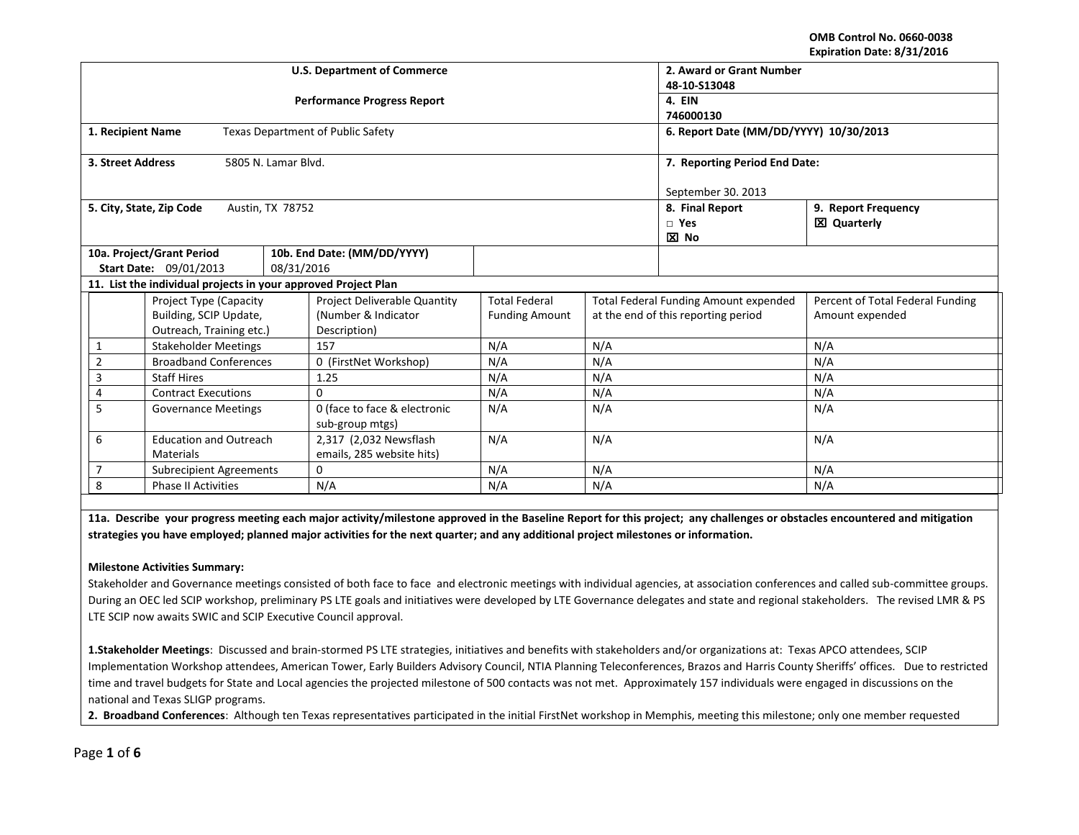#### **OMB Control No. 0660-0038 Expiration Date: 8/31/2016**

|                                                                | <b>U.S. Department of Commerce</b>              | 2. Award or Grant Number               |                                     |                                              |                                           |  |  |
|----------------------------------------------------------------|-------------------------------------------------|----------------------------------------|-------------------------------------|----------------------------------------------|-------------------------------------------|--|--|
|                                                                |                                                 | 48-10-S13048                           |                                     |                                              |                                           |  |  |
|                                                                | <b>Performance Progress Report</b>              |                                        |                                     | 4. EIN                                       |                                           |  |  |
|                                                                |                                                 |                                        |                                     | 746000130                                    |                                           |  |  |
| 1. Recipient Name                                              | <b>Texas Department of Public Safety</b>        | 6. Report Date (MM/DD/YYYY) 10/30/2013 |                                     |                                              |                                           |  |  |
| 5805 N. Lamar Blvd.<br>3. Street Address                       |                                                 | 7. Reporting Period End Date:          |                                     |                                              |                                           |  |  |
|                                                                |                                                 | September 30. 2013                     |                                     |                                              |                                           |  |  |
| 5. City, State, Zip Code<br>Austin, TX 78752                   |                                                 |                                        |                                     | 8. Final Report<br>$\Box$ Yes<br><b>区</b> No | 9. Report Frequency<br><b>区 Quarterly</b> |  |  |
| 10a. Project/Grant Period<br>10b. End Date: (MM/DD/YYYY)       |                                                 |                                        |                                     |                                              |                                           |  |  |
| <b>Start Date: 09/01/2013</b>                                  | 08/31/2016                                      |                                        |                                     |                                              |                                           |  |  |
| 11. List the individual projects in your approved Project Plan |                                                 |                                        |                                     |                                              |                                           |  |  |
| <b>Project Type (Capacity</b>                                  | Project Deliverable Quantity                    | <b>Total Federal</b>                   |                                     | <b>Total Federal Funding Amount expended</b> | Percent of Total Federal Funding          |  |  |
| Building, SCIP Update,                                         | (Number & Indicator                             | <b>Funding Amount</b>                  | at the end of this reporting period |                                              | Amount expended                           |  |  |
| Outreach, Training etc.)                                       | Description)                                    |                                        |                                     |                                              |                                           |  |  |
| <b>Stakeholder Meetings</b><br>1                               | 157                                             | N/A                                    | N/A                                 |                                              | N/A                                       |  |  |
| <b>Broadband Conferences</b><br>$\overline{2}$                 | 0 (FirstNet Workshop)                           | N/A                                    | N/A                                 |                                              | N/A                                       |  |  |
| <b>Staff Hires</b><br>3                                        | 1.25                                            | N/A                                    | N/A                                 |                                              | N/A                                       |  |  |
| <b>Contract Executions</b><br>0<br>4                           |                                                 | N/A                                    | N/A                                 |                                              | N/A                                       |  |  |
| 5<br><b>Governance Meetings</b>                                | 0 (face to face & electronic<br>sub-group mtgs) | N/A                                    | N/A                                 |                                              | N/A                                       |  |  |
| 6<br><b>Education and Outreach</b>                             | 2,317 (2,032 Newsflash                          | N/A<br>N/A                             |                                     |                                              | N/A                                       |  |  |
| <b>Materials</b>                                               | emails, 285 website hits)                       |                                        |                                     |                                              |                                           |  |  |
| <b>Subrecipient Agreements</b>                                 | $\Omega$                                        | N/A                                    | N/A                                 |                                              | N/A                                       |  |  |
| 8<br><b>Phase II Activities</b>                                | N/A                                             |                                        | N/A                                 |                                              | N/A                                       |  |  |

**11a. Describe your progress meeting each major activity/milestone approved in the Baseline Report for this project; any challenges or obstacles encountered and mitigation strategies you have employed; planned major activities for the next quarter; and any additional project milestones or information.**

## **Milestone Activities Summary:**

Stakeholder and Governance meetings consisted of both face to face and electronic meetings with individual agencies, at association conferences and called sub-committee groups. During an OEC led SCIP workshop, preliminary PS LTE goals and initiatives were developed by LTE Governance delegates and state and regional stakeholders. The revised LMR & PS LTE SCIP now awaits SWIC and SCIP Executive Council approval.

**1.Stakeholder Meetings**: Discussed and brain-stormed PS LTE strategies, initiatives and benefits with stakeholders and/or organizations at: Texas APCO attendees, SCIP Implementation Workshop attendees, American Tower, Early Builders Advisory Council, NTIA Planning Teleconferences, Brazos and Harris County Sheriffs' offices. Due to restricted time and travel budgets for State and Local agencies the projected milestone of 500 contacts was not met. Approximately 157 individuals were engaged in discussions on the national and Texas SLIGP programs.

**2. Broadband Conferences**: Although ten Texas representatives participated in the initial FirstNet workshop in Memphis, meeting this milestone; only one member requested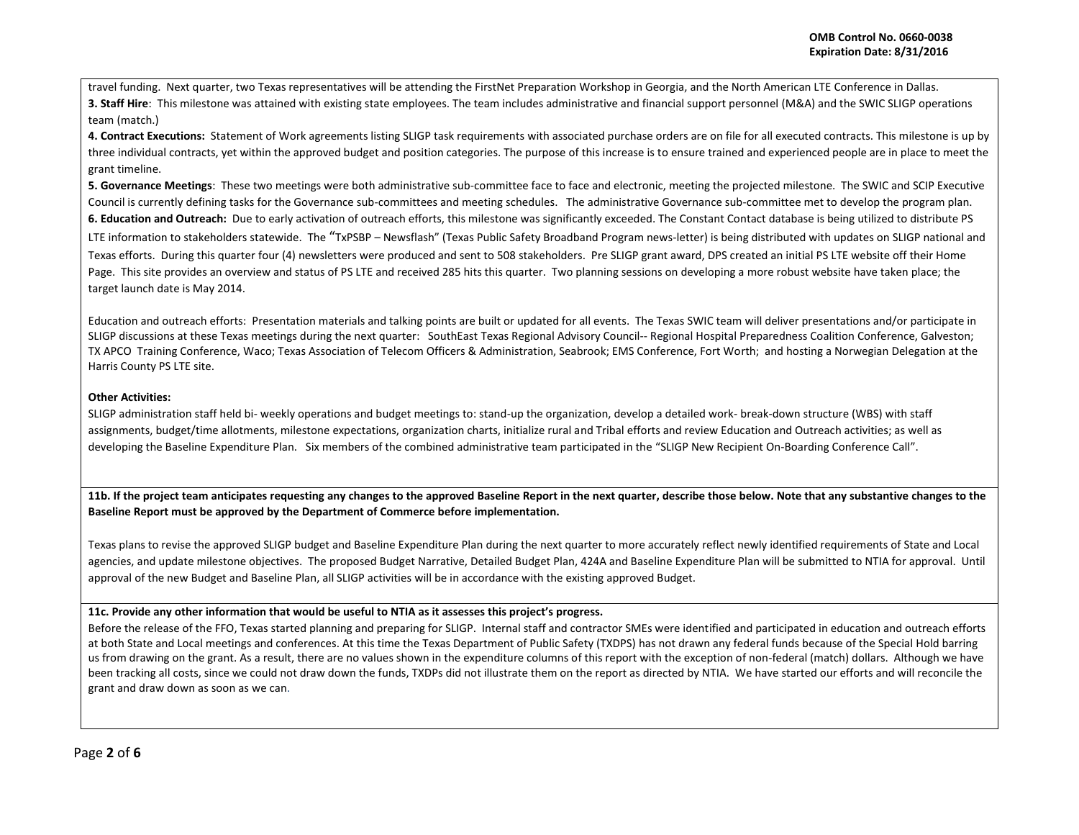travel funding. Next quarter, two Texas representatives will be attending the FirstNet Preparation Workshop in Georgia, and the North American LTE Conference in Dallas. **3. Staff Hire**: This milestone was attained with existing state employees. The team includes administrative and financial support personnel (M&A) and the SWIC SLIGP operations team (match.)

**4. Contract Executions:** Statement of Work agreements listing SLIGP task requirements with associated purchase orders are on file for all executed contracts. This milestone is up by three individual contracts, yet within the approved budget and position categories. The purpose of this increase is to ensure trained and experienced people are in place to meet the grant timeline.

**5. Governance Meetings**: These two meetings were both administrative sub-committee face to face and electronic, meeting the projected milestone. The SWIC and SCIP Executive Council is currently defining tasks for the Governance sub-committees and meeting schedules. The administrative Governance sub-committee met to develop the program plan. **6. Education and Outreach:** Due to early activation of outreach efforts, this milestone was significantly exceeded. The Constant Contact database is being utilized to distribute PS

LTE information to stakeholders statewide. The "TxPSBP - Newsflash" (Texas Public Safety Broadband Program news-letter) is being distributed with updates on SLIGP national and Texas efforts. During this quarter four (4) newsletters were produced and sent to 508 stakeholders. Pre SLIGP grant award, DPS created an initial PS LTE website off their Home Page. This site provides an overview and status of PS LTE and received 285 hits this quarter. Two planning sessions on developing a more robust website have taken place; the target launch date is May 2014.

Education and outreach efforts: Presentation materials and talking points are built or updated for all events. The Texas SWIC team will deliver presentations and/or participate in SLIGP discussions at these Texas meetings during the next quarter: SouthEast Texas Regional Advisory Council-- Regional Hospital Preparedness Coalition Conference, Galveston; TX APCO Training Conference, Waco; Texas Association of Telecom Officers & Administration, Seabrook; EMS Conference, Fort Worth; and hosting a Norwegian Delegation at the Harris County PS LTE site.

# **Other Activities:**

SLIGP administration staff held bi- weekly operations and budget meetings to: stand-up the organization, develop a detailed work- break-down structure (WBS) with staff assignments, budget/time allotments, milestone expectations, organization charts, initialize rural and Tribal efforts and review Education and Outreach activities; as well as developing the Baseline Expenditure Plan. Six members of the combined administrative team participated in the "SLIGP New Recipient On-Boarding Conference Call".

**11b. If the project team anticipates requesting any changes to the approved Baseline Report in the next quarter, describe those below. Note that any substantive changes to the Baseline Report must be approved by the Department of Commerce before implementation.** 

Texas plans to revise the approved SLIGP budget and Baseline Expenditure Plan during the next quarter to more accurately reflect newly identified requirements of State and Local agencies, and update milestone objectives. The proposed Budget Narrative, Detailed Budget Plan, 424A and Baseline Expenditure Plan will be submitted to NTIA for approval. Until approval of the new Budget and Baseline Plan, all SLIGP activities will be in accordance with the existing approved Budget.

## **11c. Provide any other information that would be useful to NTIA as it assesses this project's progress.**

Before the release of the FFO, Texas started planning and preparing for SLIGP. Internal staff and contractor SMEs were identified and participated in education and outreach efforts at both State and Local meetings and conferences. At this time the Texas Department of Public Safety (TXDPS) has not drawn any federal funds because of the Special Hold barring us from drawing on the grant. As a result, there are no values shown in the expenditure columns of this report with the exception of non-federal (match) dollars. Although we have been tracking all costs, since we could not draw down the funds, TXDPs did not illustrate them on the report as directed by NTIA. We have started our efforts and will reconcile the grant and draw down as soon as we can.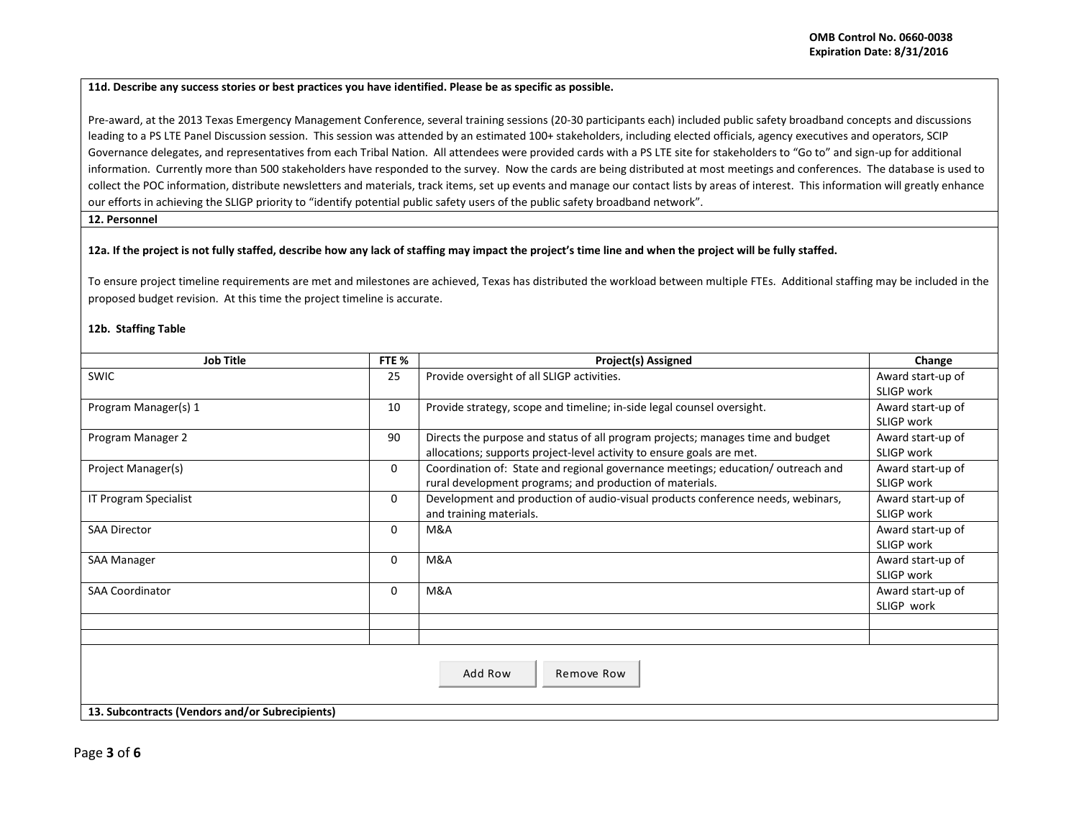#### **11d. Describe any success stories or best practices you have identified. Please be as specific as possible.**

Pre-award, at the 2013 Texas Emergency Management Conference, several training sessions (20-30 participants each) included public safety broadband concepts and discussions leading to a PS LTE Panel Discussion session. This session was attended by an estimated 100+ stakeholders, including elected officials, agency executives and operators, SCIP Governance delegates, and representatives from each Tribal Nation. All attendees were provided cards with a PS LTE site for stakeholders to "Go to" and sign-up for additional information. Currently more than 500 stakeholders have responded to the survey. Now the cards are being distributed at most meetings and conferences. The database is used to collect the POC information, distribute newsletters and materials, track items, set up events and manage our contact lists by areas of interest. This information will greatly enhance our efforts in achieving the SLIGP priority to "identify potential public safety users of the public safety broadband network".

# **12. Personnel**

## **12a. If the project is not fully staffed, describe how any lack of staffing may impact the project's time line and when the project will be fully staffed.**

To ensure project timeline requirements are met and milestones are achieved, Texas has distributed the workload between multiple FTEs. Additional staffing may be included in the proposed budget revision. At this time the project timeline is accurate.

# **12b. Staffing Table**

| <b>Job Title</b>                                | FTE %    | <b>Project(s) Assigned</b>                                                                           | Change            |  |  |  |
|-------------------------------------------------|----------|------------------------------------------------------------------------------------------------------|-------------------|--|--|--|
| <b>SWIC</b>                                     | 25       | Provide oversight of all SLIGP activities.                                                           | Award start-up of |  |  |  |
|                                                 |          |                                                                                                      | SLIGP work        |  |  |  |
| Program Manager(s) 1                            |          | Provide strategy, scope and timeline; in-side legal counsel oversight.                               | Award start-up of |  |  |  |
|                                                 |          |                                                                                                      | SLIGP work        |  |  |  |
| Program Manager 2                               | 90       | Directs the purpose and status of all program projects; manages time and budget<br>Award start-up of |                   |  |  |  |
|                                                 |          | allocations; supports project-level activity to ensure goals are met.                                | SLIGP work        |  |  |  |
| Project Manager(s)                              | $\Omega$ | Coordination of: State and regional governance meetings; education/outreach and                      | Award start-up of |  |  |  |
|                                                 |          | rural development programs; and production of materials.                                             | SLIGP work        |  |  |  |
| IT Program Specialist                           |          | Development and production of audio-visual products conference needs, webinars,                      | Award start-up of |  |  |  |
|                                                 |          | and training materials.                                                                              | SLIGP work        |  |  |  |
| <b>SAA Director</b>                             |          | M&A                                                                                                  | Award start-up of |  |  |  |
|                                                 |          |                                                                                                      | SLIGP work        |  |  |  |
| <b>SAA Manager</b>                              | $\Omega$ | M&A                                                                                                  | Award start-up of |  |  |  |
|                                                 |          |                                                                                                      | SLIGP work        |  |  |  |
| <b>SAA Coordinator</b>                          | 0        | M&A                                                                                                  | Award start-up of |  |  |  |
|                                                 |          |                                                                                                      | SLIGP work        |  |  |  |
|                                                 |          |                                                                                                      |                   |  |  |  |
|                                                 |          |                                                                                                      |                   |  |  |  |
|                                                 |          |                                                                                                      |                   |  |  |  |
| Add Row<br>Remove Row                           |          |                                                                                                      |                   |  |  |  |
|                                                 |          |                                                                                                      |                   |  |  |  |
| 13. Subcontracts (Vendors and/or Subrecipients) |          |                                                                                                      |                   |  |  |  |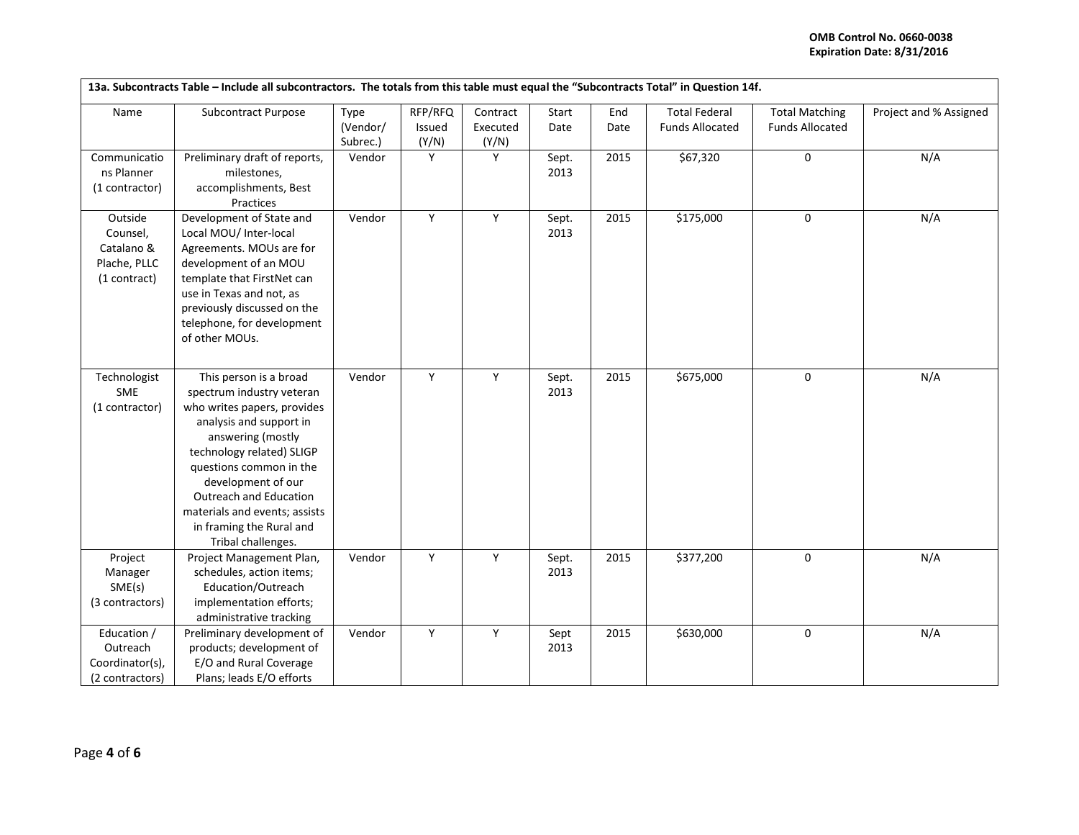# **OMB Control No. 0660-0038 Expiration Date: 8/31/2016**

| 13a. Subcontracts Table - Include all subcontractors. The totals from this table must equal the "Subcontracts Total" in Question 14f. |                                                                                                                                                                                                                                                                                                                               |                      |                 |                   |               |      |                        |                        |                        |
|---------------------------------------------------------------------------------------------------------------------------------------|-------------------------------------------------------------------------------------------------------------------------------------------------------------------------------------------------------------------------------------------------------------------------------------------------------------------------------|----------------------|-----------------|-------------------|---------------|------|------------------------|------------------------|------------------------|
| Name                                                                                                                                  | Subcontract Purpose                                                                                                                                                                                                                                                                                                           | Type                 | RFP/RFQ         | Contract          | Start         | End  | <b>Total Federal</b>   | <b>Total Matching</b>  | Project and % Assigned |
|                                                                                                                                       |                                                                                                                                                                                                                                                                                                                               | (Vendor/<br>Subrec.) | Issued<br>(Y/N) | Executed<br>(Y/N) | Date          | Date | <b>Funds Allocated</b> | <b>Funds Allocated</b> |                        |
| Communicatio<br>ns Planner<br>(1 contractor)                                                                                          | Preliminary draft of reports,<br>milestones,<br>accomplishments, Best<br>Practices                                                                                                                                                                                                                                            | Vendor               | Y               | Y                 | Sept.<br>2013 | 2015 | \$67,320               | $\mathbf 0$            | N/A                    |
| Outside<br>Counsel,<br>Catalano &<br>Plache, PLLC<br>(1 contract)                                                                     | Development of State and<br>Local MOU/ Inter-local<br>Agreements. MOUs are for<br>development of an MOU<br>template that FirstNet can<br>use in Texas and not, as<br>previously discussed on the<br>telephone, for development<br>of other MOUs.                                                                              | Vendor               | Y               | Y                 | Sept.<br>2013 | 2015 | \$175,000              | $\mathbf 0$            | N/A                    |
| Technologist<br>SME<br>(1 contractor)                                                                                                 | This person is a broad<br>spectrum industry veteran<br>who writes papers, provides<br>analysis and support in<br>answering (mostly<br>technology related) SLIGP<br>questions common in the<br>development of our<br>Outreach and Education<br>materials and events; assists<br>in framing the Rural and<br>Tribal challenges. | Vendor               | Y               | Y                 | Sept.<br>2013 | 2015 | \$675,000              | $\mathbf 0$            | N/A                    |
| Project<br>Manager<br>SME(s)<br>(3 contractors)                                                                                       | Project Management Plan,<br>schedules, action items;<br>Education/Outreach<br>implementation efforts;<br>administrative tracking                                                                                                                                                                                              | Vendor               | Υ               | Υ                 | Sept.<br>2013 | 2015 | \$377,200              | $\pmb{0}$              | N/A                    |
| Education /<br>Outreach<br>Coordinator(s),<br>(2 contractors)                                                                         | Preliminary development of<br>products; development of<br>E/O and Rural Coverage<br>Plans; leads E/O efforts                                                                                                                                                                                                                  | Vendor               | Y               | Y                 | Sept<br>2013  | 2015 | \$630,000              | $\mathbf 0$            | N/A                    |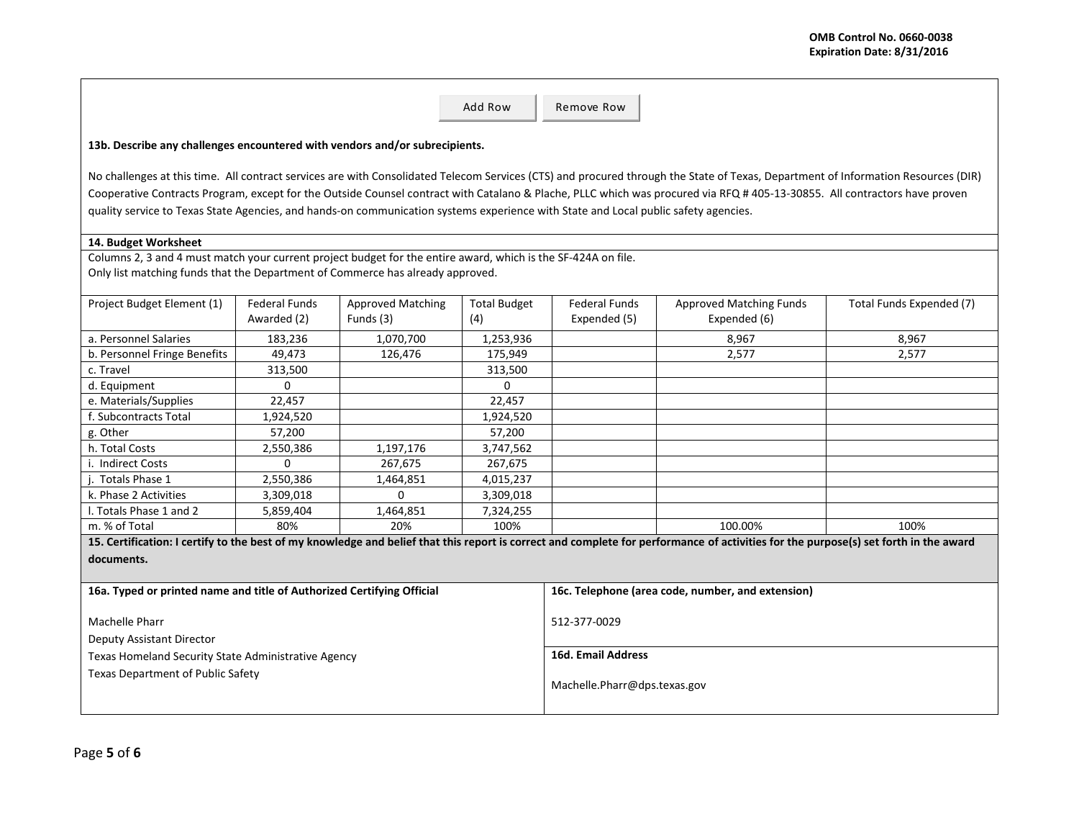|                                                                                                                                                                                                 |                      |                          | Add Row             | Remove Row                   |                                                                                                                                                                                   |                          |  |
|-------------------------------------------------------------------------------------------------------------------------------------------------------------------------------------------------|----------------------|--------------------------|---------------------|------------------------------|-----------------------------------------------------------------------------------------------------------------------------------------------------------------------------------|--------------------------|--|
|                                                                                                                                                                                                 |                      |                          |                     |                              |                                                                                                                                                                                   |                          |  |
| 13b. Describe any challenges encountered with vendors and/or subrecipients.                                                                                                                     |                      |                          |                     |                              |                                                                                                                                                                                   |                          |  |
|                                                                                                                                                                                                 |                      |                          |                     |                              | No challenges at this time. All contract services are with Consolidated Telecom Services (CTS) and procured through the State of Texas, Department of Information Resources (DIR) |                          |  |
|                                                                                                                                                                                                 |                      |                          |                     |                              | Cooperative Contracts Program, except for the Outside Counsel contract with Catalano & Plache, PLLC which was procured via RFQ #405-13-30855. All contractors have proven         |                          |  |
| quality service to Texas State Agencies, and hands-on communication systems experience with State and Local public safety agencies.                                                             |                      |                          |                     |                              |                                                                                                                                                                                   |                          |  |
|                                                                                                                                                                                                 |                      |                          |                     |                              |                                                                                                                                                                                   |                          |  |
| 14. Budget Worksheet                                                                                                                                                                            |                      |                          |                     |                              |                                                                                                                                                                                   |                          |  |
| Columns 2, 3 and 4 must match your current project budget for the entire award, which is the SF-424A on file.<br>Only list matching funds that the Department of Commerce has already approved. |                      |                          |                     |                              |                                                                                                                                                                                   |                          |  |
|                                                                                                                                                                                                 |                      |                          |                     |                              |                                                                                                                                                                                   |                          |  |
| Project Budget Element (1)                                                                                                                                                                      | <b>Federal Funds</b> | <b>Approved Matching</b> | <b>Total Budget</b> | <b>Federal Funds</b>         | <b>Approved Matching Funds</b>                                                                                                                                                    | Total Funds Expended (7) |  |
|                                                                                                                                                                                                 | Awarded (2)          | Funds (3)                | (4)                 | Expended (5)                 | Expended (6)                                                                                                                                                                      |                          |  |
| a. Personnel Salaries                                                                                                                                                                           | 183,236              | 1,070,700                | 1,253,936           |                              | 8,967                                                                                                                                                                             | 8,967                    |  |
| b. Personnel Fringe Benefits                                                                                                                                                                    | 49.473               | 126,476                  | 175.949             |                              | 2.577                                                                                                                                                                             | 2.577                    |  |
| c. Travel                                                                                                                                                                                       | 313,500              |                          | 313,500             |                              |                                                                                                                                                                                   |                          |  |
| d. Equipment                                                                                                                                                                                    | 0                    |                          | $\Omega$            |                              |                                                                                                                                                                                   |                          |  |
| e. Materials/Supplies                                                                                                                                                                           | 22,457               |                          | 22,457              |                              |                                                                                                                                                                                   |                          |  |
| f. Subcontracts Total                                                                                                                                                                           | 1,924,520            |                          | 1,924,520           |                              |                                                                                                                                                                                   |                          |  |
| g. Other                                                                                                                                                                                        | 57,200               |                          | 57,200              |                              |                                                                                                                                                                                   |                          |  |
| h. Total Costs                                                                                                                                                                                  | 2,550,386            | 1,197,176                | 3,747,562           |                              |                                                                                                                                                                                   |                          |  |
| i. Indirect Costs                                                                                                                                                                               | $\Omega$             | 267,675                  | 267,675             |                              |                                                                                                                                                                                   |                          |  |
| j. Totals Phase 1                                                                                                                                                                               | 2,550,386            | 1,464,851                | 4,015,237           |                              |                                                                                                                                                                                   |                          |  |
| k. Phase 2 Activities                                                                                                                                                                           | 3,309,018            | $\mathbf 0$              | 3,309,018           |                              |                                                                                                                                                                                   |                          |  |
| I. Totals Phase 1 and 2                                                                                                                                                                         | 5,859,404            | 1,464,851                | 7,324,255           |                              |                                                                                                                                                                                   |                          |  |
| m. % of Total                                                                                                                                                                                   | 80%                  | 20%                      | 100%                |                              | 100.00%                                                                                                                                                                           | 100%                     |  |
| 15. Certification: I certify to the best of my knowledge and belief that this report is correct and complete for performance of activities for the purpose(s) set forth in the award            |                      |                          |                     |                              |                                                                                                                                                                                   |                          |  |
| documents.                                                                                                                                                                                      |                      |                          |                     |                              |                                                                                                                                                                                   |                          |  |
| 16a. Typed or printed name and title of Authorized Certifying Official                                                                                                                          |                      |                          |                     |                              | 16c. Telephone (area code, number, and extension)                                                                                                                                 |                          |  |
|                                                                                                                                                                                                 |                      |                          |                     |                              |                                                                                                                                                                                   |                          |  |
| Machelle Pharr                                                                                                                                                                                  |                      |                          |                     | 512-377-0029                 |                                                                                                                                                                                   |                          |  |
| Deputy Assistant Director                                                                                                                                                                       |                      |                          |                     |                              |                                                                                                                                                                                   |                          |  |
| Texas Homeland Security State Administrative Agency                                                                                                                                             |                      |                          |                     | <b>16d. Email Address</b>    |                                                                                                                                                                                   |                          |  |
| Texas Department of Public Safety                                                                                                                                                               |                      |                          |                     | Machelle.Pharr@dps.texas.gov |                                                                                                                                                                                   |                          |  |